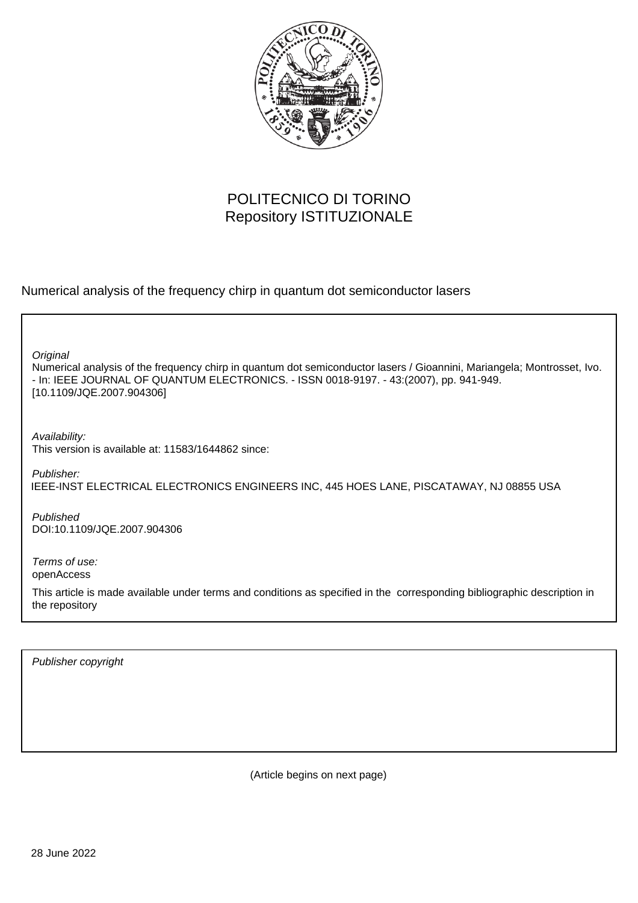

# POLITECNICO DI TORINO Repository ISTITUZIONALE

Numerical analysis of the frequency chirp in quantum dot semiconductor lasers

Numerical analysis of the frequency chirp in quantum dot semiconductor lasers / Gioannini, Mariangela; Montrosset, Ivo. - In: IEEE JOURNAL OF QUANTUM ELECTRONICS. - ISSN 0018-9197. - 43:(2007), pp. 941-949. [10.1109/JQE.2007.904306] **Original** 

Availability: This version is available at: 11583/1644862 since:

Publisher:

IEEE-INST ELECTRICAL ELECTRONICS ENGINEERS INC, 445 HOES LANE, PISCATAWAY, NJ 08855 USA

Published DOI:10.1109/JQE.2007.904306

Terms of use: openAccess

This article is made available under terms and conditions as specified in the corresponding bibliographic description in the repository

Publisher copyright

(Article begins on next page)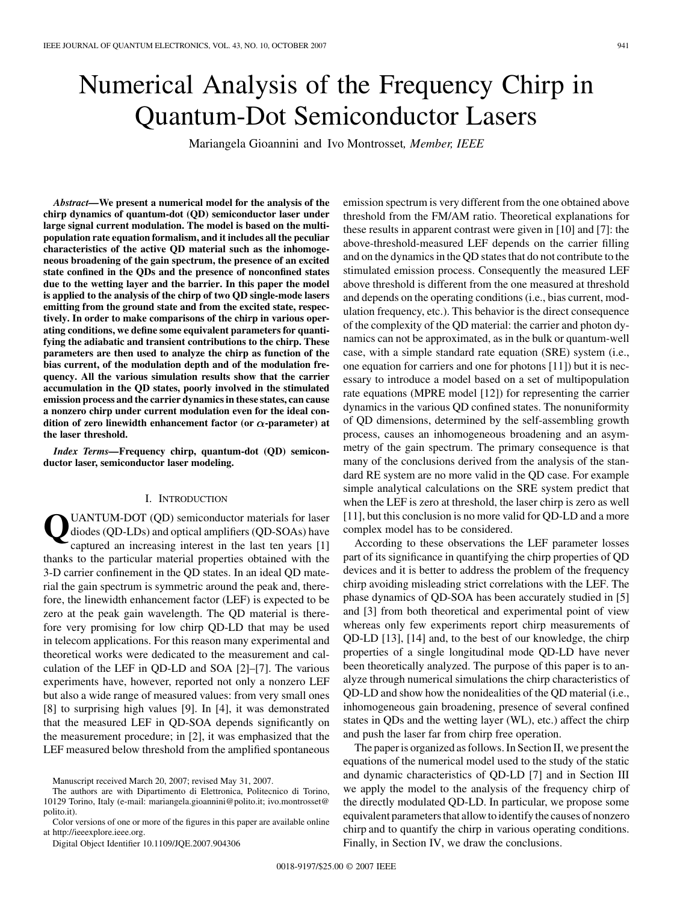# Numerical Analysis of the Frequency Chirp in Quantum-Dot Semiconductor Lasers

Mariangela Gioannini and Ivo Montrosset*, Member, IEEE*

*Abstract—***We present a numerical model for the analysis of the chirp dynamics of quantum-dot (QD) semiconductor laser under large signal current modulation. The model is based on the multipopulation rate equation formalism, and it includes all the peculiar characteristics of the active QD material such as the inhomogeneous broadening of the gain spectrum, the presence of an excited state confined in the QDs and the presence of nonconfined states due to the wetting layer and the barrier. In this paper the model is applied to the analysis of the chirp of two QD single-mode lasers emitting from the ground state and from the excited state, respectively. In order to make comparisons of the chirp in various operating conditions, we define some equivalent parameters for quantifying the adiabatic and transient contributions to the chirp. These parameters are then used to analyze the chirp as function of the bias current, of the modulation depth and of the modulation frequency. All the various simulation results show that the carrier accumulation in the QD states, poorly involved in the stimulated emission process and the carrier dynamics in these states, can cause a nonzero chirp under current modulation even for the ideal condition of zero linewidth enhancement factor (or**  $\alpha$ **-parameter) at the laser threshold.**

*Index Terms—***Frequency chirp, quantum-dot (QD) semiconductor laser, semiconductor laser modeling.**

#### I. INTRODUCTION

**Q**UANTUM-DOT (QD) semiconductor materials for laser<br>diodes (QD-LDs) and optical amplifiers (QD-SOAs) have<br>contured on increasing interest in the lest top years [1] captured an increasing interest in the last ten years [1] thanks to the particular material properties obtained with the 3-D carrier confinement in the QD states. In an ideal QD material the gain spectrum is symmetric around the peak and, therefore, the linewidth enhancement factor (LEF) is expected to be zero at the peak gain wavelength. The QD material is therefore very promising for low chirp QD-LD that may be used in telecom applications. For this reason many experimental and theoretical works were dedicated to the measurement and calculation of the LEF in QD-LD and SOA [2]–[7]. The various experiments have, however, reported not only a nonzero LEF but also a wide range of measured values: from very small ones [8] to surprising high values [9]. In [4], it was demonstrated that the measured LEF in QD-SOA depends significantly on the measurement procedure; in [2], it was emphasized that the LEF measured below threshold from the amplified spontaneous

emission spectrum is very different from the one obtained above threshold from the FM/AM ratio. Theoretical explanations for these results in apparent contrast were given in [10] and [7]: the above-threshold-measured LEF depends on the carrier filling and on the dynamics in the QD states that do not contribute to the stimulated emission process. Consequently the measured LEF above threshold is different from the one measured at threshold and depends on the operating conditions (i.e., bias current, modulation frequency, etc.). This behavior is the direct consequence of the complexity of the QD material: the carrier and photon dynamics can not be approximated, as in the bulk or quantum-well case, with a simple standard rate equation (SRE) system (i.e., one equation for carriers and one for photons [11]) but it is necessary to introduce a model based on a set of multipopulation rate equations (MPRE model [12]) for representing the carrier dynamics in the various QD confined states. The nonuniformity of QD dimensions, determined by the self-assembling growth process, causes an inhomogeneous broadening and an asymmetry of the gain spectrum. The primary consequence is that many of the conclusions derived from the analysis of the standard RE system are no more valid in the QD case. For example simple analytical calculations on the SRE system predict that when the LEF is zero at threshold, the laser chirp is zero as well [11], but this conclusion is no more valid for QD-LD and a more complex model has to be considered.

According to these observations the LEF parameter losses part of its significance in quantifying the chirp properties of QD devices and it is better to address the problem of the frequency chirp avoiding misleading strict correlations with the LEF. The phase dynamics of QD-SOA has been accurately studied in [5] and [3] from both theoretical and experimental point of view whereas only few experiments report chirp measurements of QD-LD [13], [14] and, to the best of our knowledge, the chirp properties of a single longitudinal mode QD-LD have never been theoretically analyzed. The purpose of this paper is to analyze through numerical simulations the chirp characteristics of QD-LD and show how the nonidealities of the QD material (i.e., inhomogeneous gain broadening, presence of several confined states in QDs and the wetting layer (WL), etc.) affect the chirp and push the laser far from chirp free operation.

The paper is organized as follows. In Section II, we present the equations of the numerical model used to the study of the static and dynamic characteristics of QD-LD [7] and in Section III we apply the model to the analysis of the frequency chirp of the directly modulated QD-LD. In particular, we propose some equivalent parameters that allow to identify the causes of nonzero chirp and to quantify the chirp in various operating conditions. Finally, in Section IV, we draw the conclusions.

Manuscript received March 20, 2007; revised May 31, 2007.

The authors are with Dipartimento di Elettronica, Politecnico di Torino, 10129 Torino, Italy (e-mail: mariangela.gioannini@polito.it; ivo.montrosset@ polito.it).

Color versions of one or more of the figures in this paper are available online at http://ieeexplore.ieee.org.

Digital Object Identifier 10.1109/JQE.2007.904306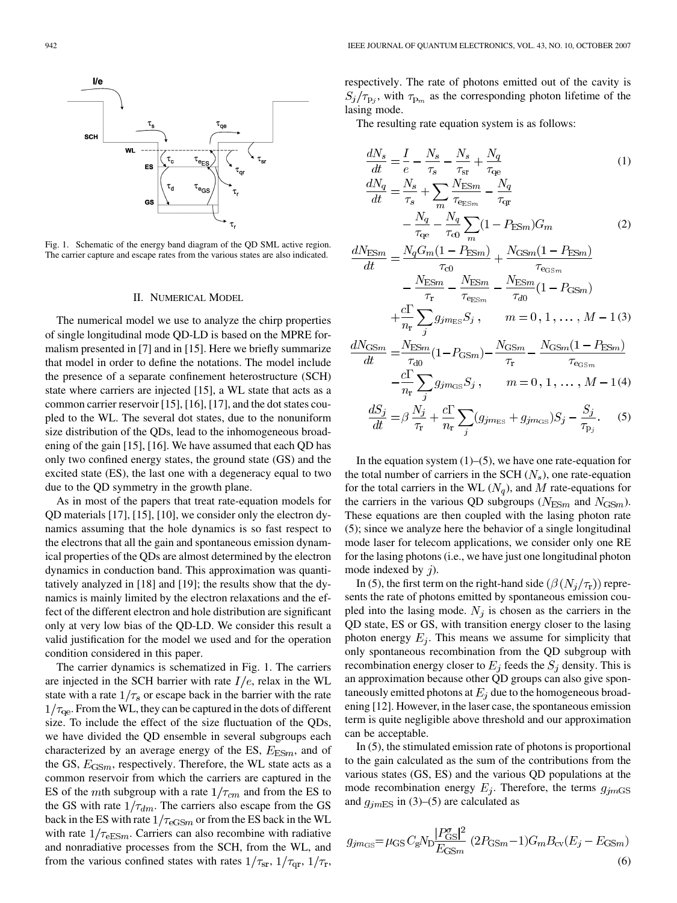

Fig. 1. Schematic of the energy band diagram of the QD SML active region. The carrier capture and escape rates from the various states are also indicated.

#### II. NUMERICAL MODEL

The numerical model we use to analyze the chirp properties of single longitudinal mode QD-LD is based on the MPRE formalism presented in [7] and in [15]. Here we briefly summarize that model in order to define the notations. The model include the presence of a separate confinement heterostructure (SCH) state where carriers are injected [15], a WL state that acts as a common carrier reservoir [15], [16], [17], and the dot states coupled to the WL. The several dot states, due to the nonuniform size distribution of the QDs, lead to the inhomogeneous broadening of the gain [15], [16]. We have assumed that each QD has only two confined energy states, the ground state (GS) and the excited state (ES), the last one with a degeneracy equal to two due to the QD symmetry in the growth plane.

As in most of the papers that treat rate-equation models for QD materials [17], [15], [10], we consider only the electron dynamics assuming that the hole dynamics is so fast respect to the electrons that all the gain and spontaneous emission dynamical properties of the QDs are almost determined by the electron dynamics in conduction band. This approximation was quantitatively analyzed in [18] and [19]; the results show that the dynamics is mainly limited by the electron relaxations and the effect of the different electron and hole distribution are significant only at very low bias of the QD-LD. We consider this result a valid justification for the model we used and for the operation condition considered in this paper.

The carrier dynamics is schematized in Fig. 1. The carriers are injected in the SCH barrier with rate  $I/e$ , relax in the WL state with a rate  $1/\tau_s$  or escape back in the barrier with the rate  $1/\tau_{\text{qe}}$ . From the WL, they can be captured in the dots of different size. To include the effect of the size fluctuation of the QDs, we have divided the QD ensemble in several subgroups each characterized by an average energy of the ES,  $E_{\text{ES}m}$ , and of the GS,  $E_{\text{GSm}}$ , respectively. Therefore, the WL state acts as a common reservoir from which the carriers are captured in the ES of the mth subgroup with a rate  $1/\tau_{cm}$  and from the ES to the GS with rate  $1/\tau_{dm}$ . The carriers also escape from the GS back in the ES with rate  $1/\tau_{\text{eGSm}}$  or from the ES back in the WL with rate  $1/\tau_{\text{eES}m}$ . Carriers can also recombine with radiative and nonradiative processes from the SCH, from the WL, and from the various confined states with rates  $1/\tau_{sr}$ ,  $1/\tau_{qr}$ ,  $1/\tau_{r}$ , respectively. The rate of photons emitted out of the cavity is  $S_j/\tau_{p_j}$ , with  $\tau_{p_m}$  as the corresponding photon lifetime of the lasing mode.

The resulting rate equation system is as follows:

$$
\frac{dN_s}{dt} = \frac{I}{e} - \frac{N_s}{\tau_s} - \frac{N_s}{\tau_{sr}} + \frac{N_q}{\tau_{qe}}
$$
\n
$$
\frac{dN_q}{dt} = \frac{N_s}{\tau_s} + \sum_m \frac{N_{ESm}}{\tau_{e_{ESm}}} - \frac{N_q}{\tau_{qr}}
$$
\n
$$
-\frac{N_q}{\tau_{qe}} - \frac{N_q}{\tau_{c0}} \sum_m (1 - P_{ESm}) G_m
$$
\n(2)

$$
\frac{dN_{\text{ES}m}}{dt} = \frac{N_q G_m (1 - P_{\text{ES}m})}{\tau_{c0}} + \frac{N_{\text{GS}m} (1 - P_{\text{ES}m})}{\tau_{\text{e}_{\text{GS}m}}} \n- \frac{N_{\text{ES}m}}{\tau_{\text{r}}} - \frac{N_{\text{ES}m}}{\tau_{\text{e}_{\text{ES}m}}} - \frac{N_{\text{ES}m}}{\tau_{d0}} (1 - P_{\text{GS}m}) \n+ \frac{c\Gamma}{n_{\text{r}}} \sum_{j} g_{j m_{\text{ES}}} S_j, \qquad m = 0, 1, ..., M - 1 (3) \n\frac{dN_{\text{GS}m}}{dt} = \frac{N_{\text{ES}m}}{\tau_{d0}} (1 - P_{\text{GS}m}) - \frac{N_{\text{GS}m}}{\tau_{\text{r}}} - \frac{N_{\text{GS}m} (1 - P_{\text{ES}m})}{\tau_{\text{e}_{\text{GS}m}}} \n- \frac{c\Gamma}{n_{\text{r}}} \sum_{j} g_{j m_{\text{GS}}} S_j, \qquad m = 0, 1, ..., M - 1 (4) \n\frac{dS_j}{dt} = \beta \frac{N_j}{\tau_{\text{r}}} + \frac{c\Gamma}{n_{\text{r}}} \sum_{j} (g_{j m_{\text{ES}}} + g_{j m_{\text{GS}}}) S_j - \frac{S_j}{\tau_{\text{p}}}.
$$
\n(5)

In the equation system  $(1)$ – $(5)$ , we have one rate-equation for the total number of carriers in the SCH  $(N_s)$ , one rate-equation for the total carriers in the WL  $(N_q)$ , and M rate-equations for the carriers in the various QD subgroups ( $N_{\text{ES}m}$  and  $N_{\text{GS}m}$ ). These equations are then coupled with the lasing photon rate (5); since we analyze here the behavior of a single longitudinal mode laser for telecom applications, we consider only one RE for the lasing photons (i.e., we have just one longitudinal photon mode indexed by  $j$ ).

In (5), the first term on the right-hand side  $(\beta (N_i/\tau_{\rm r}))$  represents the rate of photons emitted by spontaneous emission coupled into the lasing mode.  $N_j$  is chosen as the carriers in the QD state, ES or GS, with transition energy closer to the lasing photon energy  $E_j$ . This means we assume for simplicity that only spontaneous recombination from the QD subgroup with recombination energy closer to  $E_i$  feeds the  $S_i$  density. This is an approximation because other QD groups can also give spontaneously emitted photons at  $E_i$  due to the homogeneous broadening [12]. However, in the laser case, the spontaneous emission term is quite negligible above threshold and our approximation can be acceptable.

In (5), the stimulated emission rate of photons is proportional to the gain calculated as the sum of the contributions from the various states (GS, ES) and the various QD populations at the mode recombination energy  $E_j$ . Therefore, the terms  $g_{j m}$ GS and  $g_{j m \to S}$  in (3)–(5) are calculated as

$$
g_{j m_{\rm GS}} = \mu_{\rm GS} C_{\rm g} N_{\rm D} \frac{|P_{\rm GS}^{\sigma}|^2}{E_{\rm GSm}} (2P_{\rm GSm} - 1) G_m B_{\rm cv} (E_j - E_{\rm GSm})
$$
\n(6)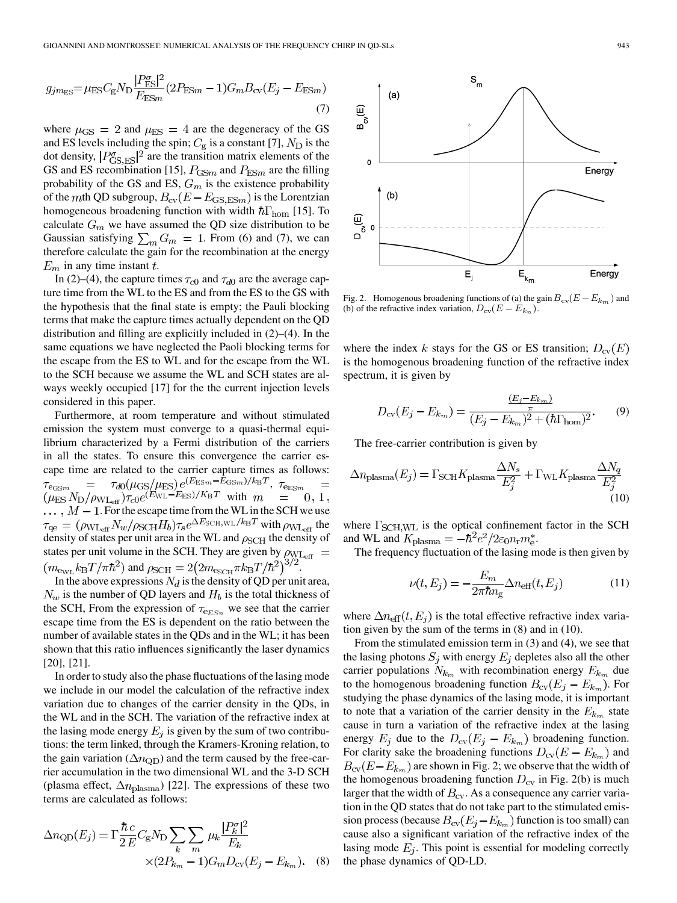$$
g_{j m_{\rm ES}} = \mu_{\rm ES} C_{\rm g} N_{\rm D} \frac{|P_{\rm ES}^{\sigma}|^2}{E_{\rm ESm}} (2P_{\rm ESm} - 1) G_m B_{\rm cv} (E_j - E_{\rm ESm})
$$
\n(7)

where  $\mu_{\rm GS} = 2$  and  $\mu_{\rm ES} = 4$  are the degeneracy of the GS and ES levels including the spin;  $C_{\rm g}$  is a constant [7],  $N_{\rm D}$  is the dot density,  $|P_{\text{GS,ES}}^{\sigma}|^2$  are the transition matrix elements of the GS and ES recombination [15],  $P_{\text{GS}m}$  and  $P_{\text{ES}m}$  are the filling probability of the GS and ES,  $G_m$  is the existence probability of the  $m$ th QD subgroup,  $B_{\text{cv}}(E - E_{\text{GS,ES}m})$  is the Lorentzian homogeneous broadening function with width  $\hbar\Gamma_{\text{hom}}$  [15]. To calculate  $G_m$  we have assumed the QD size distribution to be Gaussian satisfying  $\sum_m G_m = 1$ . From (6) and (7), we can therefore calculate the gain for the recombination at the energy  $E_m$  in any time instant t.

In (2)–(4), the capture times  $\tau_{c0}$  and  $\tau_{d0}$  are the average capture time from the WL to the ES and from the ES to the GS with the hypothesis that the final state is empty; the Pauli blocking terms that make the capture times actually dependent on the QD distribution and filling are explicitly included in (2)–(4). In the same equations we have neglected the Paoli blocking terms for the escape from the ES to WL and for the escape from the WL to the SCH because we assume the WL and SCH states are always weekly occupied [17] for the the current injection levels considered in this paper.

Furthermore, at room temperature and without stimulated emission the system must converge to a quasi-thermal equilibrium characterized by a Fermi distribution of the carriers in all the states. To ensure this convergence the carrier escape time are related to the carrier capture times as follows: , with  $\ldots$ ,  $M-1$ . For the escape time from the WL in the SCH we use  $\tau_{\text{qe}} = (\rho_{\text{WL}_{\text{eff}}} N_w / \rho_{\text{SCH}} H_b) \tau_s e^{\Delta E_{\text{SCH,WL}}/k_B T}$  with  $\rho_{\text{WL}_{\text{eff}}}$  the density of states per unit area in the WL and  $\rho_{\text{SCH}}$  the density of states per unit volume in the SCH. They are given by  $\rho_{\text{WL-eff}}$  =  $(m_{\text{ewL}}k_BT/\pi\hbar^2)$  and  $\rho_{\text{SCH}} = 2(2m_{\text{esCH}}\pi k_BT/\hbar^2)^{3/2}$ 

In the above expressions  $N_d$  is the density of QD per unit area,  $N_w$  is the number of QD layers and  $H_b$  is the total thickness of the SCH, From the expression of  $\tau_{e_{ES_n}}$  we see that the carrier escape time from the ES is dependent on the ratio between the number of available states in the QDs and in the WL; it has been shown that this ratio influences significantly the laser dynamics [20], [21].

In order to study also the phase fluctuations of the lasing mode we include in our model the calculation of the refractive index variation due to changes of the carrier density in the QDs, in the WL and in the SCH. The variation of the refractive index at the lasing mode energy  $E_i$  is given by the sum of two contributions: the term linked, through the Kramers-Kroning relation, to the gain variation  $(\Delta n_{\rm OD})$  and the term caused by the free-carrier accumulation in the two dimensional WL and the 3-D SCH (plasma effect,  $\Delta n_{\text{plasma}}$ ) [22]. The expressions of these two terms are calculated as follows:

$$
\Delta n_{\rm QD}(E_j) = \Gamma \frac{\hbar c}{2E} C_{\rm g} N_{\rm D} \sum_{k} \sum_{m} \mu_k \frac{|P_k^{\sigma}|^2}{E_k} \times (2P_{k_m} - 1) G_m D_{\rm cv}(E_j - E_{k_m}). \quad (8)
$$



where the index k stays for the GS or ES transition;  $D_{\text{cv}}(E)$ is the homogenous broadening function of the refractive index spectrum, it is given by

$$
D_{\text{cv}}(E_j - E_{k_m}) = \frac{\frac{(E_j - E_{k_m})}{\pi}}{(E_j - E_{k_m})^2 + (\hbar\Gamma_{\text{hom}})^2}.
$$
 (9)

The free-carrier contribution is given by

$$
\Delta n_{\text{plasma}}(E_j) = \Gamma_{\text{SCH}} K_{\text{plasma}} \frac{\Delta N_s}{E_j^2} + \Gamma_{\text{WL}} K_{\text{plasma}} \frac{\Delta N_q}{E_j^2}
$$
\n(10)

where  $\Gamma_{\text{SCH,WL}}$  is the optical confinement factor in the SCH and WL and  $K_{\text{plasma}} = -\hbar^2 e^2/2\varepsilon_0 n_{\text{r}} m_{\text{e}}^*$ .

The frequency fluctuation of the lasing mode is then given by

$$
\nu(t, E_j) = -\frac{E_m}{2\pi\hbar n_{\rm g}} \Delta n_{\rm eff}(t, E_j)
$$
\n(11)

where  $\Delta n_{\text{eff}}(t, E_i)$  is the total effective refractive index variation given by the sum of the terms in (8) and in (10).

From the stimulated emission term in (3) and (4), we see that the lasing photons  $S_j$  with energy  $E_j$  depletes also all the other carrier populations  $N_{k_m}$  with recombination energy  $E_{k_m}$  due to the homogenous broadening function  $B_{\text{cv}}(E_i - E_{k_m})$ . For studying the phase dynamics of the lasing mode, it is important to note that a variation of the carrier density in the  $E_{k_m}$  state cause in turn a variation of the refractive index at the lasing energy  $E_j$  due to the  $D_{\text{cv}}(E_j - E_{k_m})$  broadening function. For clarity sake the broadening functions  $D_{\text{cv}}(E - E_{k_m})$  and  $B_{\rm cv}(E-E_{k_m})$  are shown in Fig. 2; we observe that the width of the homogenous broadening function  $D_{\text{cv}}$  in Fig. 2(b) is much larger that the width of  $B_{\rm cv}$ . As a consequence any carrier variation in the QD states that do not take part to the stimulated emission process (because  $B_{\text{cv}}(E_j - E_{k_m})$  function is too small) can cause also a significant variation of the refractive index of the lasing mode  $E_i$ . This point is essential for modeling correctly the phase dynamics of QD-LD.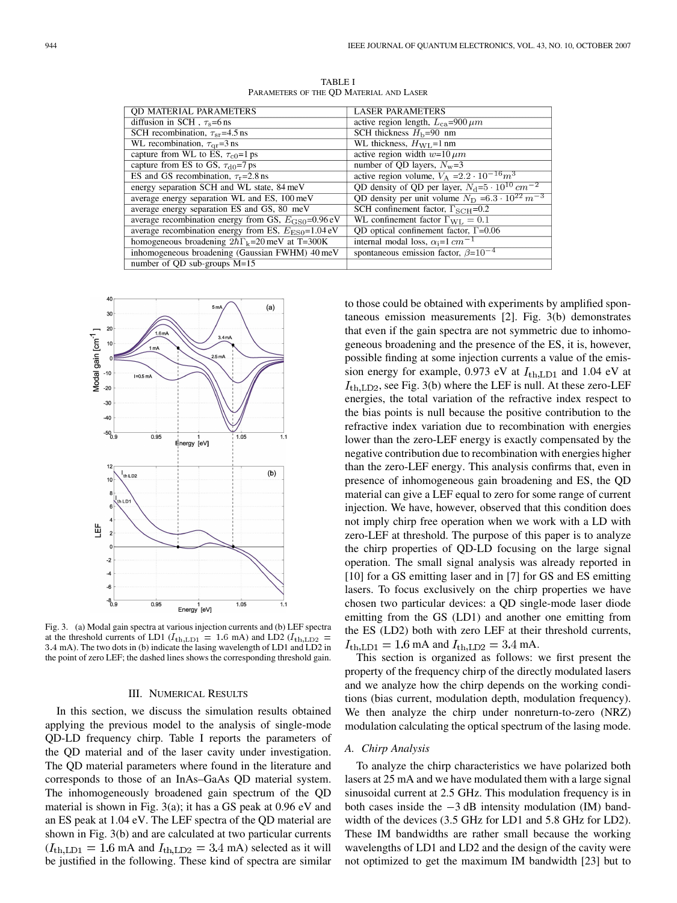| <b>QD MATERIAL PARAMETERS</b>                                            | <b>LASER PARAMETERS</b>                                                 |
|--------------------------------------------------------------------------|-------------------------------------------------------------------------|
| diffusion in SCH, $\tau_s$ =6 ns                                         | active region length, $L_{ca}$ =900 $\mu$ m                             |
| SCH recombination, $\tau_{sr}$ =4.5 ns                                   | SCH thickness $Hb=90$ nm                                                |
| WL recombination, $\tau_{\text{qr}}$ =3 ns                               | WL thickness, $H_{\text{WI}}$ =1 nm                                     |
| capture from WL to ES, $\tau_{c0}$ =1 ps                                 | active region width $w=10 \ \mu m$                                      |
| capture from ES to GS, $\tau_{d0}$ =7 ps                                 | number of QD layers, $N_w=3$                                            |
| ES and GS recombination, $\tau_r = 2.8$ ns                               | active region volume, $V_A = 2.2 \cdot 10^{-16} m^3$                    |
| energy separation SCH and WL state, 84 meV                               | QD density of QD per layer, $N_{\rm d}$ =5 · $10^{10}$ cm <sup>-2</sup> |
| average energy separation WL and ES, 100 meV                             | QD density per unit volume $N_D = 6.3 \cdot 10^{22} m^{-3}$             |
| average energy separation ES and GS, 80 meV                              | SCH confinement factor, $\Gamma_{\text{SCH}}=0.2$                       |
| average recombination energy from GS, $E_{\text{GSO}}=0.96 \text{ eV}$   | WL confinement factor $\Gamma_{\text{WL}} = 0.1$                        |
| average recombination energy from ES, $E_{\text{ESO}} = 1.04 \text{ eV}$ | QD optical confinement factor, $\Gamma$ =0.06                           |
| homogeneous broadening $2\hbar\Gamma_{\mathbf{k}}=20$ meV at T=300K      | internal modal loss, $\alpha_i = 1$ cm <sup>-1</sup>                    |
| inhomogeneous broadening (Gaussian FWHM) 40 meV                          | spontaneous emission factor, $\beta=10^{-4}$                            |
| number of QD sub-groups $M=15$                                           |                                                                         |

TABLE I PARAMETERS OF THE QD MATERIAL AND LASER



Fig. 3. (a) Modal gain spectra at various injection currents and (b) LEF spectra at the threshold currents of LD1 ( $I_{th,LD1}$  = 1.6 mA) and LD2 ( $I_{th,LD2}$  = 3:4 mA). The two dots in (b) indicate the lasing wavelength of LD1 and LD2 in the point of zero LEF; the dashed lines shows the corresponding threshold gain.

#### III. NUMERICAL RESULTS

In this section, we discuss the simulation results obtained applying the previous model to the analysis of single-mode QD-LD frequency chirp. Table I reports the parameters of the QD material and of the laser cavity under investigation. The QD material parameters where found in the literature and corresponds to those of an InAs–GaAs QD material system. The inhomogeneously broadened gain spectrum of the QD material is shown in Fig. 3(a); it has a GS peak at 0.96 eV and an ES peak at 1.04 eV. The LEF spectra of the QD material are shown in Fig. 3(b) and are calculated at two particular currents  $(I<sub>th,LD1</sub> = 1.6 \text{ mA}$  and  $I<sub>th,LD2</sub> = 3.4 \text{ mA}$ ) selected as it will be justified in the following. These kind of spectra are similar

to those could be obtained with experiments by amplified spontaneous emission measurements [2]. Fig. 3(b) demonstrates that even if the gain spectra are not symmetric due to inhomogeneous broadening and the presence of the ES, it is, however, possible finding at some injection currents a value of the emission energy for example, 0.973 eV at  $I_{\text{th.LD1}}$  and 1.04 eV at  $I_{\text{th,LD2}}$ , see Fig. 3(b) where the LEF is null. At these zero-LEF energies, the total variation of the refractive index respect to the bias points is null because the positive contribution to the refractive index variation due to recombination with energies lower than the zero-LEF energy is exactly compensated by the negative contribution due to recombination with energies higher than the zero-LEF energy. This analysis confirms that, even in presence of inhomogeneous gain broadening and ES, the QD material can give a LEF equal to zero for some range of current injection. We have, however, observed that this condition does not imply chirp free operation when we work with a LD with zero-LEF at threshold. The purpose of this paper is to analyze the chirp properties of QD-LD focusing on the large signal operation. The small signal analysis was already reported in [10] for a GS emitting laser and in [7] for GS and ES emitting lasers. To focus exclusively on the chirp properties we have chosen two particular devices: a QD single-mode laser diode emitting from the GS (LD1) and another one emitting from the ES (LD2) both with zero LEF at their threshold currents,  $I_{\text{th,LD1}} = 1.6 \text{ mA}$  and  $I_{\text{th,LD2}} = 3.4 \text{ mA}$ .

This section is organized as follows: we first present the property of the frequency chirp of the directly modulated lasers and we analyze how the chirp depends on the working conditions (bias current, modulation depth, modulation frequency). We then analyze the chirp under nonreturn-to-zero (NRZ) modulation calculating the optical spectrum of the lasing mode.

#### *A. Chirp Analysis*

To analyze the chirp characteristics we have polarized both lasers at 25 mA and we have modulated them with a large signal sinusoidal current at 2.5 GHz. This modulation frequency is in both cases inside the  $-3$  dB intensity modulation (IM) bandwidth of the devices (3.5 GHz for LD1 and 5.8 GHz for LD2). These IM bandwidths are rather small because the working wavelengths of LD1 and LD2 and the design of the cavity were not optimized to get the maximum IM bandwidth [23] but to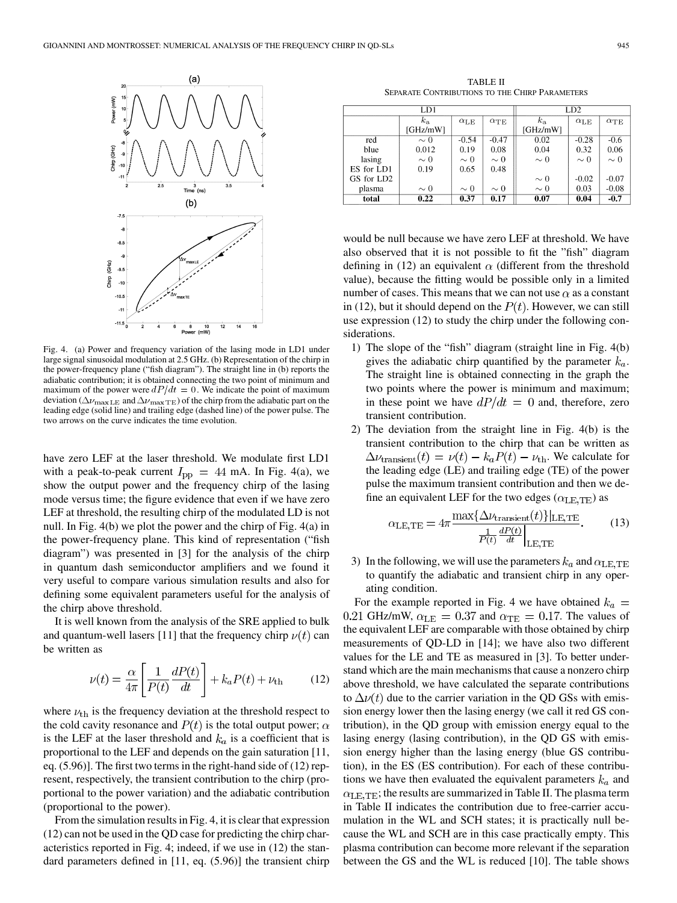

Fig. 4. (a) Power and frequency variation of the lasing mode in LD1 under large signal sinusoidal modulation at 2.5 GHz. (b) Representation of the chirp in the power-frequency plane ("fish diagram"). The straight line in (b) reports the adiabatic contribution; it is obtained connecting the two point of minimum and maximum of the power were  $dP/dt = 0$ . We indicate the point of maximum deviation (  $\Delta \nu_{\rm max\,LE}$  and  $\Delta \nu_{\rm max\, TE}$  ) of the chirp from the adiabatic part on the leading edge (solid line) and trailing edge (dashed line) of the power pulse. The two arrows on the curve indicates the time evolution.

have zero LEF at the laser threshold. We modulate first LD1 with a peak-to-peak current  $I_{\rm pp}$  = 44 mA. In Fig. 4(a), we show the output power and the frequency chirp of the lasing mode versus time; the figure evidence that even if we have zero LEF at threshold, the resulting chirp of the modulated LD is not null. In Fig. 4(b) we plot the power and the chirp of Fig. 4(a) in the power-frequency plane. This kind of representation ("fish diagram") was presented in [3] for the analysis of the chirp in quantum dash semiconductor amplifiers and we found it very useful to compare various simulation results and also for defining some equivalent parameters useful for the analysis of the chirp above threshold.

It is well known from the analysis of the SRE applied to bulk and quantum-well lasers [11] that the frequency chirp  $\nu(t)$  can be written as

$$
\nu(t) = \frac{\alpha}{4\pi} \left[ \frac{1}{P(t)} \frac{dP(t)}{dt} \right] + k_a P(t) + \nu_{\text{th}} \tag{12}
$$

where  $\nu_{\text{th}}$  is the frequency deviation at the threshold respect to the cold cavity resonance and  $P(t)$  is the total output power;  $\alpha$ is the LEF at the laser threshold and  $k_a$  is a coefficient that is proportional to the LEF and depends on the gain saturation [11, eq. (5.96)]. The first two terms in the right-hand side of (12) represent, respectively, the transient contribution to the chirp (proportional to the power variation) and the adiabatic contribution (proportional to the power).

From the simulation results in Fig. 4, it is clear that expression (12) can not be used in the QD case for predicting the chirp characteristics reported in Fig. 4; indeed, if we use in (12) the standard parameters defined in [11, eq. (5.96)] the transient chirp

TABLE II SEPARATE CONTRIBUTIONS TO THE CHIRP PARAMETERS

| LD1                    |             |                   | LD2         |             |                   |             |
|------------------------|-------------|-------------------|-------------|-------------|-------------------|-------------|
|                        | $k_{\rm a}$ | $\alpha_{\rm LE}$ | $\alpha$ TE | $k_{\rm a}$ | $\alpha_{\rm LE}$ | $\alpha$ TE |
|                        | [GHz/mW]    |                   |             | [GHz/mW]    |                   |             |
| red                    | $\sim 0$    | $-0.54$           | $-0.47$     | 0.02        | $-0.28$           | $-0.6$      |
| blue                   | 0.012       | 0.19              | 0.08        | 0.04        | 0.32              | 0.06        |
| lasing                 | $\sim 0$    | $\sim 0$          | $\sim 0$    | $\sim 0$    | $\sim 0$          | $\sim 0$    |
| ES for LD1             | 0.19        | 0.65              | 0.48        |             |                   |             |
| GS for LD <sub>2</sub> |             |                   |             | $\sim 0$    | $-0.02$           | $-0.07$     |
| plasma                 | $\sim 0$    | $\sim 0$          | $\sim 0$    | $\sim 0$    | 0.03              | $-0.08$     |
| total                  | 0.22        | 0.37              | 0.17        | 0.07        | 0.04              | $-0.7$      |

would be null because we have zero LEF at threshold. We have also observed that it is not possible to fit the "fish" diagram defining in (12) an equivalent  $\alpha$  (different from the threshold value), because the fitting would be possible only in a limited number of cases. This means that we can not use  $\alpha$  as a constant in (12), but it should depend on the  $P(t)$ . However, we can still use expression (12) to study the chirp under the following considerations.

- 1) The slope of the "fish" diagram (straight line in Fig. 4(b) gives the adiabatic chirp quantified by the parameter  $k_a$ . The straight line is obtained connecting in the graph the two points where the power is minimum and maximum; in these point we have  $dP/dt = 0$  and, therefore, zero transient contribution.
- 2) The deviation from the straight line in Fig. 4(b) is the transient contribution to the chirp that can be written as  $\Delta \nu_{\text{transient}}(t) = \nu(t) - k_a P(t) - \nu_{\text{th}}$ . We calculate for the leading edge (LE) and trailing edge (TE) of the power pulse the maximum transient contribution and then we define an equivalent LEF for the two edges  $(\alpha_{\text{LE,TE}})$  as

$$
\alpha_{\text{LE,TE}} = 4\pi \frac{\max\{\Delta \nu_{\text{transient}}(t)\}|\text{LE,TE}}{P(t)\frac{dP(t)}{dt}\Big|_{\text{LE,TE}}}. \tag{13}
$$

3) In the following, we will use the parameters  $k_a$  and  $\alpha_{\text{LE,TE}}$ to quantify the adiabatic and transient chirp in any operating condition.

For the example reported in Fig. 4 we have obtained  $k_a =$ 0.21 GHz/mW,  $\alpha_{\text{LE}} = 0.37$  and  $\alpha_{\text{TE}} = 0.17$ . The values of the equivalent LEF are comparable with those obtained by chirp measurements of QD-LD in [14]; we have also two different values for the LE and TE as measured in [3]. To better understand which are the main mechanisms that cause a nonzero chirp above threshold, we have calculated the separate contributions to  $\Delta v(t)$  due to the carrier variation in the QD GSs with emission energy lower then the lasing energy (we call it red GS contribution), in the QD group with emission energy equal to the lasing energy (lasing contribution), in the QD GS with emission energy higher than the lasing energy (blue GS contribution), in the ES (ES contribution). For each of these contributions we have then evaluated the equivalent parameters  $k_a$  and  $\alpha_{\text{LE,TE}}$ ; the results are summarized in Table II. The plasma term in Table II indicates the contribution due to free-carrier accumulation in the WL and SCH states; it is practically null because the WL and SCH are in this case practically empty. This plasma contribution can become more relevant if the separation between the GS and the WL is reduced [10]. The table shows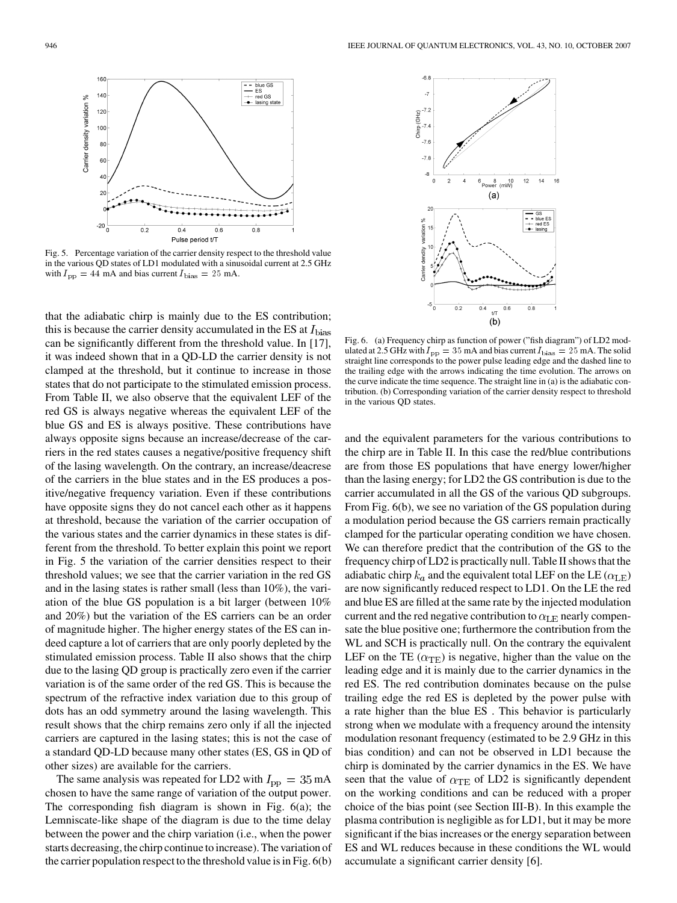

Fig. 5. Percentage variation of the carrier density respect to the threshold value in the various QD states of LD1 modulated with a sinusoidal current at 2.5 GHz with  $I_{\rm pp} = 44$  mA and bias current  $I_{\rm bias} = 25$  mA.

that the adiabatic chirp is mainly due to the ES contribution; this is because the carrier density accumulated in the ES at  $I_{\text{bias}}$ can be significantly different from the threshold value. In [17], it was indeed shown that in a QD-LD the carrier density is not clamped at the threshold, but it continue to increase in those states that do not participate to the stimulated emission process. From Table II, we also observe that the equivalent LEF of the red GS is always negative whereas the equivalent LEF of the blue GS and ES is always positive. These contributions have always opposite signs because an increase/decrease of the carriers in the red states causes a negative/positive frequency shift of the lasing wavelength. On the contrary, an increase/deacrese of the carriers in the blue states and in the ES produces a positive/negative frequency variation. Even if these contributions have opposite signs they do not cancel each other as it happens at threshold, because the variation of the carrier occupation of the various states and the carrier dynamics in these states is different from the threshold. To better explain this point we report in Fig. 5 the variation of the carrier densities respect to their threshold values; we see that the carrier variation in the red GS and in the lasing states is rather small (less than 10%), the variation of the blue GS population is a bit larger (between 10% and 20%) but the variation of the ES carriers can be an order of magnitude higher. The higher energy states of the ES can indeed capture a lot of carriers that are only poorly depleted by the stimulated emission process. Table II also shows that the chirp due to the lasing QD group is practically zero even if the carrier variation is of the same order of the red GS. This is because the spectrum of the refractive index variation due to this group of dots has an odd symmetry around the lasing wavelength. This result shows that the chirp remains zero only if all the injected carriers are captured in the lasing states; this is not the case of a standard QD-LD because many other states (ES, GS in QD of other sizes) are available for the carriers.

The same analysis was repeated for LD2 with  $I_{\text{pp}} = 35 \text{ mA}$ chosen to have the same range of variation of the output power. The corresponding fish diagram is shown in Fig. 6(a); the Lemniscate-like shape of the diagram is due to the time delay between the power and the chirp variation (i.e., when the power starts decreasing, the chirp continue to increase). The variation of the carrier population respect to the threshold value is in Fig. 6(b)



Fig. 6. (a) Frequency chirp as function of power ("fish diagram") of LD2 modulated at 2.5 GHz with  $I_{\rm pp} = 35$  mA and bias current  $I_{\rm bias} = 25$  mA. The solid straight line corresponds to the power pulse leading edge and the dashed line to the trailing edge with the arrows indicating the time evolution. The arrows on the curve indicate the time sequence. The straight line in (a) is the adiabatic contribution. (b) Corresponding variation of the carrier density respect to threshold in the various QD states.

and the equivalent parameters for the various contributions to the chirp are in Table II. In this case the red/blue contributions are from those ES populations that have energy lower/higher than the lasing energy; for LD2 the GS contribution is due to the carrier accumulated in all the GS of the various QD subgroups. From Fig. 6(b), we see no variation of the GS population during a modulation period because the GS carriers remain practically clamped for the particular operating condition we have chosen. We can therefore predict that the contribution of the GS to the frequency chirp of LD2 is practically null. Table II shows that the adiabatic chirp  $k_a$  and the equivalent total LEF on the LE ( $\alpha_{\rm LE}$ ) are now significantly reduced respect to LD1. On the LE the red and blue ES are filled at the same rate by the injected modulation current and the red negative contribution to  $\alpha_{\text{LE}}$  nearly compensate the blue positive one; furthermore the contribution from the WL and SCH is practically null. On the contrary the equivalent LEF on the TE  $(\alpha_{TE})$  is negative, higher than the value on the leading edge and it is mainly due to the carrier dynamics in the red ES. The red contribution dominates because on the pulse trailing edge the red ES is depleted by the power pulse with a rate higher than the blue ES . This behavior is particularly strong when we modulate with a frequency around the intensity modulation resonant frequency (estimated to be 2.9 GHz in this bias condition) and can not be observed in LD1 because the chirp is dominated by the carrier dynamics in the ES. We have seen that the value of  $\alpha_{TE}$  of LD2 is significantly dependent on the working conditions and can be reduced with a proper choice of the bias point (see Section III-B). In this example the plasma contribution is negligible as for LD1, but it may be more significant if the bias increases or the energy separation between ES and WL reduces because in these conditions the WL would accumulate a significant carrier density [6].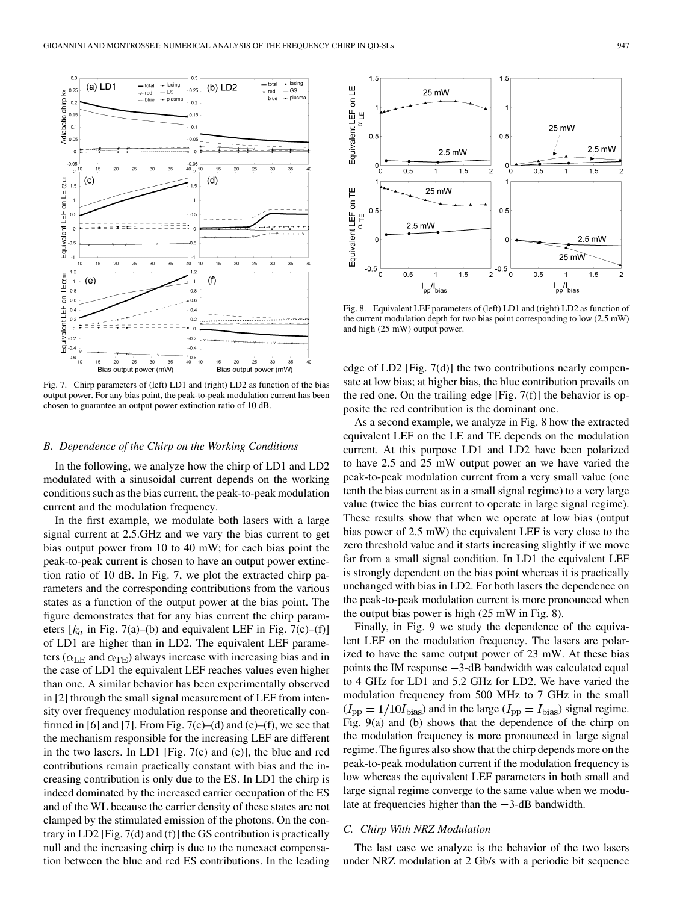

Fig. 7. Chirp parameters of (left) LD1 and (right) LD2 as function of the bias output power. For any bias point, the peak-to-peak modulation current has been chosen to guarantee an output power extinction ratio of 10 dB.

#### *B. Dependence of the Chirp on the Working Conditions*

In the following, we analyze how the chirp of LD1 and LD2 modulated with a sinusoidal current depends on the working conditions such as the bias current, the peak-to-peak modulation current and the modulation frequency.

In the first example, we modulate both lasers with a large signal current at 2.5.GHz and we vary the bias current to get bias output power from 10 to 40 mW; for each bias point the peak-to-peak current is chosen to have an output power extinction ratio of 10 dB. In Fig. 7, we plot the extracted chirp parameters and the corresponding contributions from the various states as a function of the output power at the bias point. The figure demonstrates that for any bias current the chirp parameters  $[k_a$  in Fig. 7(a)–(b) and equivalent LEF in Fig. 7(c)–(f)] of LD1 are higher than in LD2. The equivalent LEF parameters ( $\alpha_{\rm LE}$  and  $\alpha_{\rm TE}$ ) always increase with increasing bias and in the case of LD1 the equivalent LEF reaches values even higher than one. A similar behavior has been experimentally observed in [2] through the small signal measurement of LEF from intensity over frequency modulation response and theoretically confirmed in [6] and [7]. From Fig. 7(c)–(d) and (e)–(f), we see that the mechanism responsible for the increasing LEF are different in the two lasers. In LD1 [Fig. 7(c) and (e)], the blue and red contributions remain practically constant with bias and the increasing contribution is only due to the ES. In LD1 the chirp is indeed dominated by the increased carrier occupation of the ES and of the WL because the carrier density of these states are not clamped by the stimulated emission of the photons. On the contrary in LD2 [Fig. 7(d) and (f)] the GS contribution is practically null and the increasing chirp is due to the nonexact compensation between the blue and red ES contributions. In the leading



Fig. 8. Equivalent LEF parameters of (left) LD1 and (right) LD2 as function of the current modulation depth for two bias point corresponding to low (2.5 mW) and high (25 mW) output power.

edge of LD2 [Fig. 7(d)] the two contributions nearly compensate at low bias; at higher bias, the blue contribution prevails on the red one. On the trailing edge [Fig. 7(f)] the behavior is opposite the red contribution is the dominant one.

As a second example, we analyze in Fig. 8 how the extracted equivalent LEF on the LE and TE depends on the modulation current. At this purpose LD1 and LD2 have been polarized to have 2.5 and 25 mW output power an we have varied the peak-to-peak modulation current from a very small value (one tenth the bias current as in a small signal regime) to a very large value (twice the bias current to operate in large signal regime). These results show that when we operate at low bias (output bias power of 2.5 mW) the equivalent LEF is very close to the zero threshold value and it starts increasing slightly if we move far from a small signal condition. In LD1 the equivalent LEF is strongly dependent on the bias point whereas it is practically unchanged with bias in LD2. For both lasers the dependence on the peak-to-peak modulation current is more pronounced when the output bias power is high (25 mW in Fig. 8).

Finally, in Fig. 9 we study the dependence of the equivalent LEF on the modulation frequency. The lasers are polarized to have the same output power of 23 mW. At these bias points the IM response  $-3$ -dB bandwidth was calculated equal to 4 GHz for LD1 and 5.2 GHz for LD2. We have varied the modulation frequency from 500 MHz to 7 GHz in the small  $(I_{\rm pp} = 1/10 I_{\rm bias})$  and in the large  $(I_{\rm pp} = I_{\rm bias})$  signal regime. Fig. 9(a) and (b) shows that the dependence of the chirp on the modulation frequency is more pronounced in large signal regime. The figures also show that the chirp depends more on the peak-to-peak modulation current if the modulation frequency is low whereas the equivalent LEF parameters in both small and large signal regime converge to the same value when we modulate at frequencies higher than the  $-3$ -dB bandwidth.

### *C. Chirp With NRZ Modulation*

The last case we analyze is the behavior of the two lasers under NRZ modulation at 2 Gb/s with a periodic bit sequence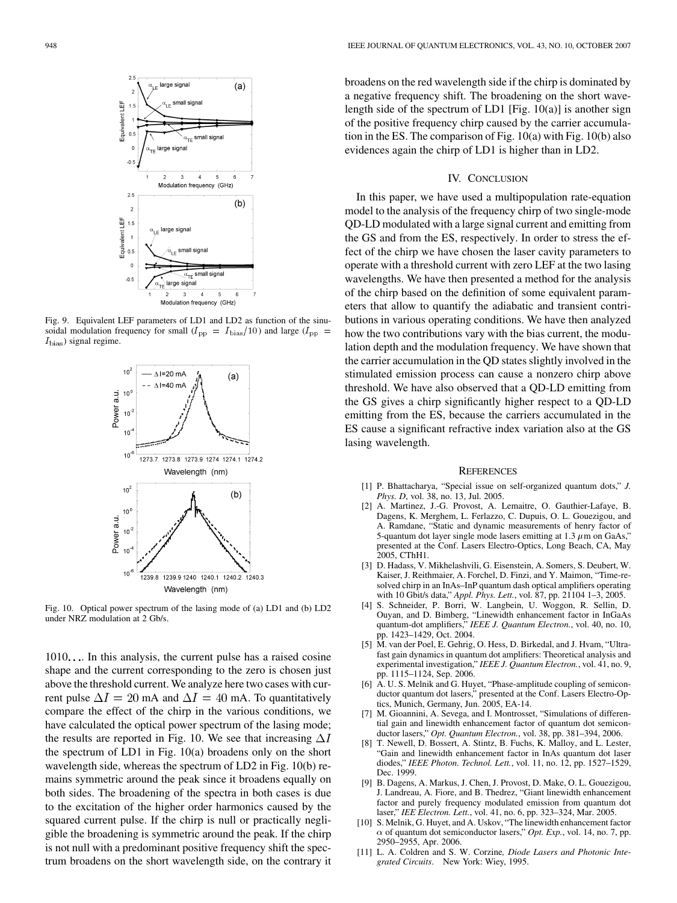

Fig. 9. Equivalent LEF parameters of LD1 and LD2 as function of the sinusoidal modulation frequency for small ( $I_{\rm pp}$  =  $I_{\rm bias}/10$ ) and large ( $I_{\rm pp}$  =  $I<sub>bias</sub>$ ) signal regime.



Fig. 10. Optical power spectrum of the lasing mode of (a) LD1 and (b) LD2 under NRZ modulation at 2 Gb/s.

 $1010...$  In this analysis, the current pulse has a raised cosine shape and the current corresponding to the zero is chosen just above the threshold current. We analyze here two cases with current pulse  $\Delta I = 20$  mA and  $\Delta I = 40$  mA. To quantitatively compare the effect of the chirp in the various conditions, we have calculated the optical power spectrum of the lasing mode; the results are reported in Fig. 10. We see that increasing  $\Delta I$ the spectrum of LD1 in Fig. 10(a) broadens only on the short wavelength side, whereas the spectrum of LD2 in Fig. 10(b) remains symmetric around the peak since it broadens equally on both sides. The broadening of the spectra in both cases is due to the excitation of the higher order harmonics caused by the squared current pulse. If the chirp is null or practically negligible the broadening is symmetric around the peak. If the chirp is not null with a predominant positive frequency shift the spectrum broadens on the short wavelength side, on the contrary it broadens on the red wavelength side if the chirp is dominated by a negative frequency shift. The broadening on the short wavelength side of the spectrum of LD1 [Fig. 10(a)] is another sign of the positive frequency chirp caused by the carrier accumulation in the ES. The comparison of Fig. 10(a) with Fig. 10(b) also evidences again the chirp of LD1 is higher than in LD2.

## IV. CONCLUSION

In this paper, we have used a multipopulation rate-equation model to the analysis of the frequency chirp of two single-mode QD-LD modulated with a large signal current and emitting from the GS and from the ES, respectively. In order to stress the effect of the chirp we have chosen the laser cavity parameters to operate with a threshold current with zero LEF at the two lasing wavelengths. We have then presented a method for the analysis of the chirp based on the definition of some equivalent parameters that allow to quantify the adiabatic and transient contributions in various operating conditions. We have then analyzed how the two contributions vary with the bias current, the modulation depth and the modulation frequency. We have shown that the carrier accumulation in the QD states slightly involved in the stimulated emission process can cause a nonzero chirp above threshold. We have also observed that a QD-LD emitting from the GS gives a chirp significantly higher respect to a QD-LD emitting from the ES, because the carriers accumulated in the ES cause a significant refractive index variation also at the GS lasing wavelength.

#### **REFERENCES**

- [1] P. Bhattacharya, "Special issue on self-organized quantum dots," *J. Phys. D*, vol. 38, no. 13, Jul. 2005.
- [2] A. Martinez, J.-G. Provost, A. Lemaitre, O. Gauthier-Lafaye, B. Dagens, K. Merghem, L. Ferlazzo, C. Dupuis, O. L. Gouezigou, and A. Ramdane, "Static and dynamic measurements of henry factor of 5-quantum dot layer single mode lasers emitting at  $1.3 \mu$ m on GaAs," presented at the Conf. Lasers Electro-Optics, Long Beach, CA, May 2005, CThH1.
- [3] D. Hadass, V. Mikhelashvili, G. Eisenstein, A. Somers, S. Deubert, W. Kaiser, J. Reithmaier, A. Forchel, D. Finzi, and Y. Maimon, "Time-resolved chirp in an InAs–InP quantum dash optical amplifiers operating with 10 Gbit/s data," *Appl. Phys. Lett.*, vol. 87, pp. 21104 1–3, 2005.
- [4] S. Schneider, P. Borri, W. Langbein, U. Woggon, R. Sellin, D. Ouyan, and D. Bimberg, "Linewidth enhancement factor in InGaAs quantum-dot amplifiers," *IEEE J. Quantum Electron.*, vol. 40, no. 10, pp. 1423–1429, Oct. 2004.
- [5] M. van der Poel, E. Gehrig, O. Hess, D. Birkedal, and J. Hvam, "Ultrafast gain dynamics in quantum dot amplifiers: Theoretical analysis and experimental investigation," *IEEE J. Quantum Electron.*, vol. 41, no. 9, pp. 1115–1124, Sep. 2006.
- [6] A. U. S. Melnik and G. Huyet, "Phase-amplitude coupling of semiconductor quantum dot lasers," presented at the Conf. Lasers Electro-Optics, Munich, Germany, Jun. 2005, EA-14.
- [7] M. Gioannini, A. Sevega, and I. Montrosset, "Simulations of differential gain and linewidth enhancement factor of quantum dot semiconductor lasers," *Opt. Quantum Electron.*, vol. 38, pp. 381–394, 2006.
- [8] T. Newell, D. Bossert, A. Stintz, B. Fuchs, K. Malloy, and L. Lester, "Gain and linewidth enhancement factor in InAs quantum dot laser diodes," *IEEE Photon. Technol. Lett.*, vol. 11, no. 12, pp. 1527–1529, Dec. 1999.
- [9] B. Dagens, A. Markus, J. Chen, J. Provost, D. Make, O. L. Gouezigou, J. Landreau, A. Fiore, and B. Thedrez, "Giant linewidth enhancement factor and purely frequency modulated emission from quantum dot laser," *IEE Electron. Lett.*, vol. 41, no. 6, pp. 323–324, Mar. 2005.
- [10] S. Melnik, G. Huyet, and A. Uskov, "The linewidth enhancement factor  $\alpha$  of quantum dot semiconductor lasers," *Opt. Exp.*, vol. 14, no. 7, pp. 2950–2955, Apr. 2006.
- [11] L. A. Coldren and S. W. Corzine, *Diode Lasers and Photonic Integrated Circuits*. New York: Wiey, 1995.